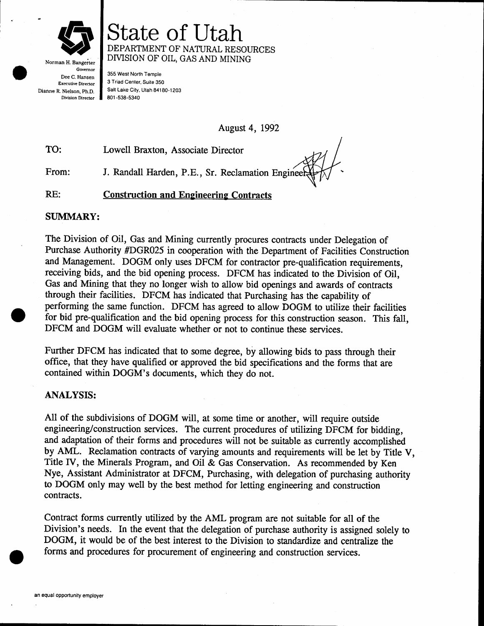

Governor Dee C. Hansen Executive Director Dianne R. Nielson, Ph.D. Division Director

State of lltah DEPARTMENT OF NATURAL RESOURCES DMSION OF OIL, GAS AND MINING

355 West North Temple 3 Triad Center, Suite 350 Salt Lake City, Utah 841 80-1203 801 -s38-5340

August 4, 1992

TO: Lowell Braxton, Associate Director

From: J. Randall Harden, P.E., Sr. Reclamation Enginee

RE: Construction and Engineering Contracts

## SUMMARY:

The Division of Oil, Gas and Mining currently procures contracts under Delegation of Purchase Authority #DGR025 in cooperation with the Department of Facilities Construction and Management. DOGM only uses DFCM for contractor pre-qualification requirements, receiving bids, and the bid opening process. DFCM has indicated to the Division of Oil, Gas and Mining that they no longer wish to allow bid openings and awards of contracts through their facilities. DFCM has indicated that Purchasing has the capability of performing the same function. DFCM has agreed to allow DOGM to utilize their facilities for bid pre-qualification and the bid opening process for this construction season. This fall, DFCM and DOGM will evaluate whether or not to continue these services.

Further DFCM has indicated that to some degree, by allowing bids to pass through their office, that they have qualified or approved the bid specifications and the forms that are contained within DOGM's documents, which they do not.

## ANALYSIS:

All of the subdivisions of DOGM will, at some time or another, will require outside engineering/construction services. The current procedures of utilizing DFCM for bidding, and adaptation of their forms and procedures will not be suitable as currenfly accomplished by AML. Reclamation contracts of varying amounts and requirements will be let by Title V, Title IV, the Minerals Program, and Oil & Gas Conservation. As recommended by Ken Nye, Assistant Administrator at DFCM, Purchasing, with delegation of purchasing authority to DOGM only may well by the best method for letting engineering and construction contracts.

Contract forms currently utilized by the AML program are not suitable for all of the Division's needs. In the event that the delegation of purchase authority is assigned solely to DOGM, it would be of the best interest to the Division to standardize and centralize the forms and procedures for procurement of engineering and construction services.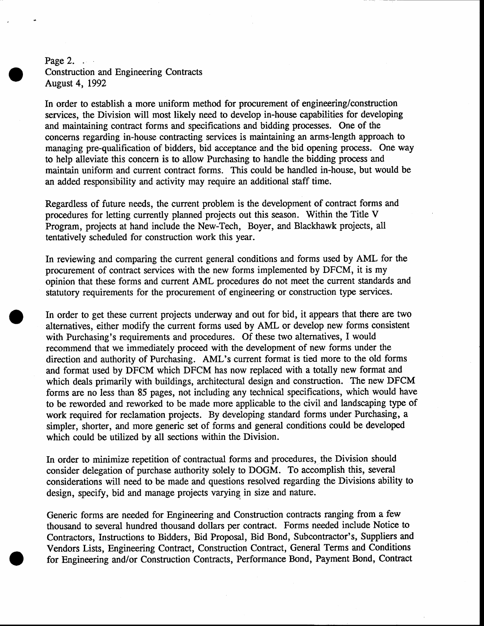# Page 2. . . . . . Construction and Engineering Contracts August 4, 1992

In order to establish a more uniform method for procurement of engineering/construction services, the Division will most likely need to develop in-house capabilities for developing and maintaining contract forms and specifications and bidding processes. One of the concerns regarding in-house contracting sewices is maintaining an arms-length approach to managing pre-qualification of bidders, bid acceptance and the bid opening process. One way to help alleviate this concern is to allow Purchasing to handle the bidding process and maintain uniform and current contract forms. This could be handled in-house, but would be an added responsibility and activity may require an additional staff time.

Regardless of future needs, the current problem is the development of contract forms and procedures for letting currently planned projects out this season. Within the Title V Program, projects at hand include the New-Tech, Boyer, and Blackhawk projects, all tentatively scheduled for construction work this year.

In reviewing and comparing the current general conditions and forms used by AML for the procurement of contract services with the new forms implemented by DFCM, it is my opinion that these forms and current AML procedures do not meet the current standards and statutory requirements for the procurement of engineering or construction type services.

In order to get these current projects underway and out for bid, it appears that there are two alternatives, either modify the current forms used by AML or develop new forms consistent with Purchasing's requirements and procedures. Of these two alternatives, I would recommend that we immediately proceed with the development of new forms under the direction and authority of Purchasing. AML's current format is tied more to the old forms and format used by DFCM which DFCM has now replaced with a totally new format and which deals primarily with buildings, architectural design and construction. The new DFCM forms are no less than 85 pages, not including any technical specifications, which would have to be reworded and reworked to be made more applicable to the civil and landscaping type of work required for reclamation projects. By developing standard forms under Purchasing, a simpler, shorter, and more generic set of forms and general conditions could be developed which could be utilized by all sections within the Division.

In order to minimize repetition of contractual forms and procedures, the Division should consider delegation of purchase authority solely to DOGM. To accomplish this, several considerations will need to be made and questions resolved regarding the Divisions ability to design, specify, bid and manage projects varying in size and nature.

Generic forms are needed for Engineering and Construction contracts ranging from a few thousand to several hundred thousand dollars per contract. Forms needed include Notice to Contractors, Instructions to Bidders, Bid Proposal, Bid Bond, Subcontractor's, Suppliers and Vendors Lists, Engineering Contract, Construction Contract, General Terms and Conditions for Engineering and/or Construction Contracts, Performance Bond, Payment Bond, Contract